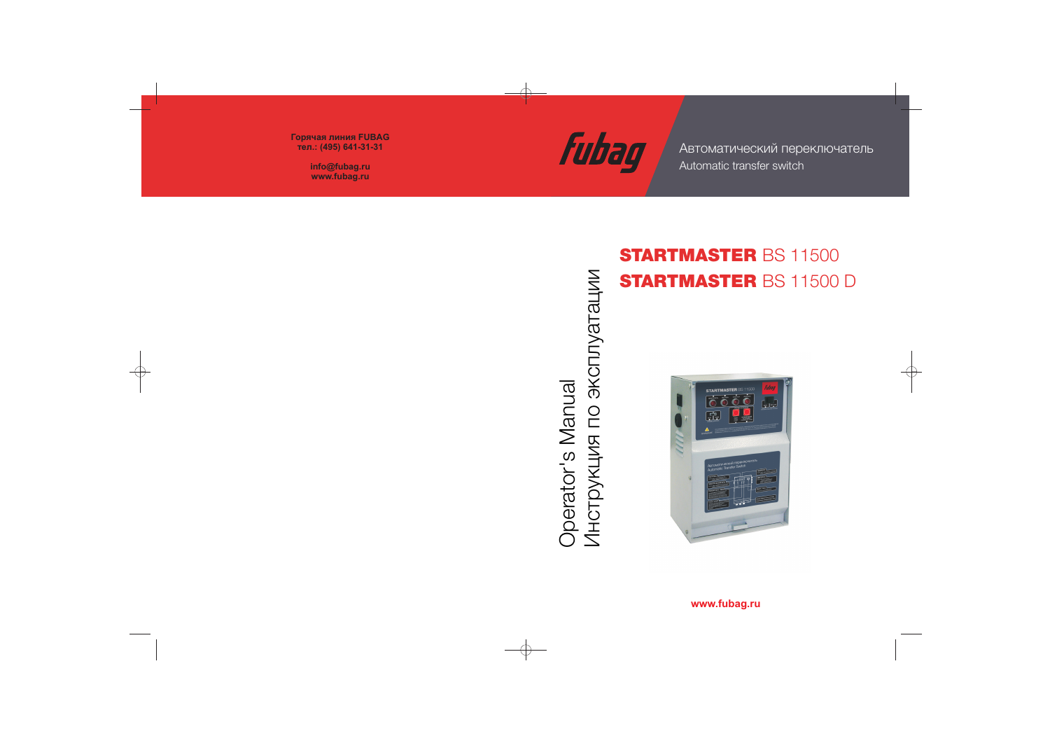

Automatic transfer switch Автоматический переключатель

Лнструкция по эксплуатации Инструкция по эксплуатации **Operator's Manual** Operator's Manual

# STARTMASTER BS 11500 STARTMASTER BS 11500 D



### **www.fubag.ru**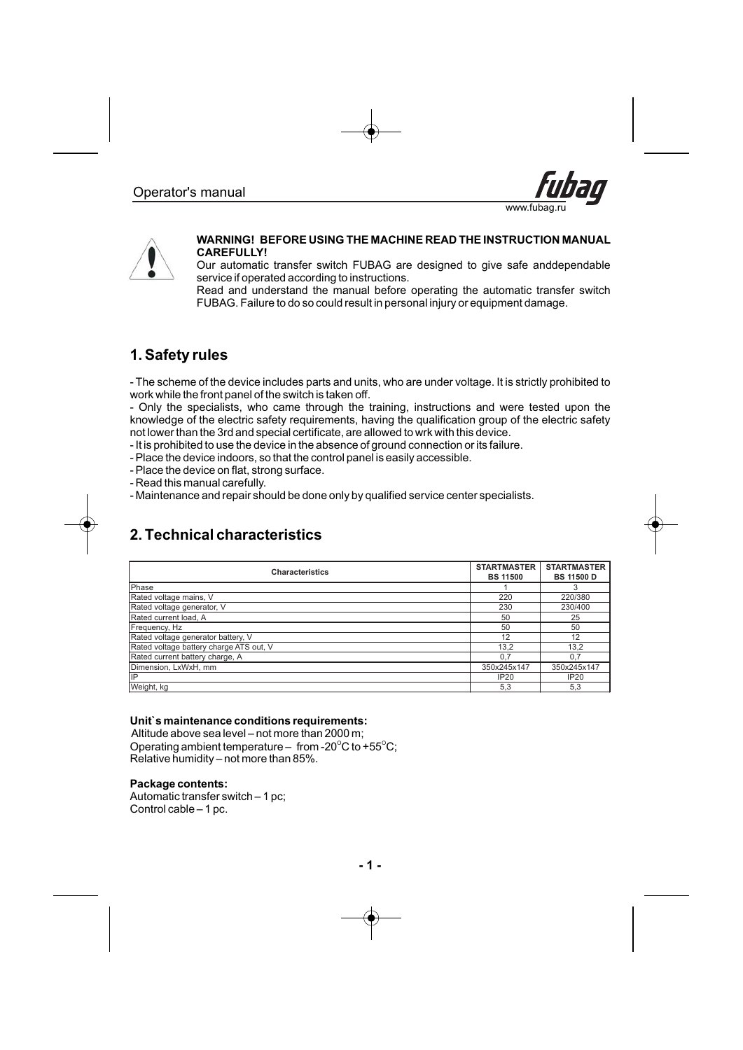



#### **WARNING! BEFORE USING THE MACHINE READ THE INSTRUCTION MANUAL CAREFULLY!**

Our automatic transfer switch FUBAG are designed to give safe anddependable service if operated according to instructions.

Read and understand the manual before operating the automatic transfer switch FUBAG. Failure to do so could result in personal injury or equipment damage.

### **1. Safety rules**

- T he scheme of the device includes parts and units, who are under voltage. It is strictly prohibited to work while the front panel of the switch is taken off.

- O nly the specialists, who came through the training, instructions and were tested upon the knowledge of the electric safety requirements, having the qualification group of the electric safety not lower than the 3rd and special certificate, are allowed to wrk with this device.

- I t is prohibited to use the device in the absence of ground connection or its failure.

- P lace the device indoors, so that the control panel is easily accessible.

- P lace the device on flat, strong surface.
- R ead this manual carefully.
- M aintenance and repair should be done only by qualified service center specialists.

### **2. Technical characteristics**

| <b>Characteristics</b>                  | <b>STARTMASTER</b><br><b>BS 11500</b> | <b>STARTMASTER</b><br><b>BS 11500 D</b> |
|-----------------------------------------|---------------------------------------|-----------------------------------------|
| Phase                                   |                                       |                                         |
| Rated voltage mains, V                  | 220                                   | 220/380                                 |
| Rated voltage generator, V              | 230                                   | 230/400                                 |
| Rated current load. A                   | 50                                    | 25                                      |
| Frequency, Hz                           | 50                                    | 50                                      |
| Rated voltage generator battery, V      | 12                                    | 12                                      |
| Rated voltage battery charge ATS out, V | 13,2                                  | 13,2                                    |
| Rated current battery charge, A         | 0.7                                   | 0.7                                     |
| Dimension, LxWxH, mm                    | 350x245x147                           | 350x245x147                             |
| lıP                                     | IP20                                  | IP20                                    |
| Weight, kg                              | 5,3                                   | 5,3                                     |

### **Unit`s maintenance conditions requirements:**

Altitude above sea level – not more than 2000 m; Operating ambient temperature – from -20 $\mathrm{^{\circ}C}$  to +55 $\mathrm{^{\circ}C}$ ; Relative humidity – not more than 85%.

#### **Package contents:**

Automatic transfer switch – 1 pc; Control cable – 1 pc.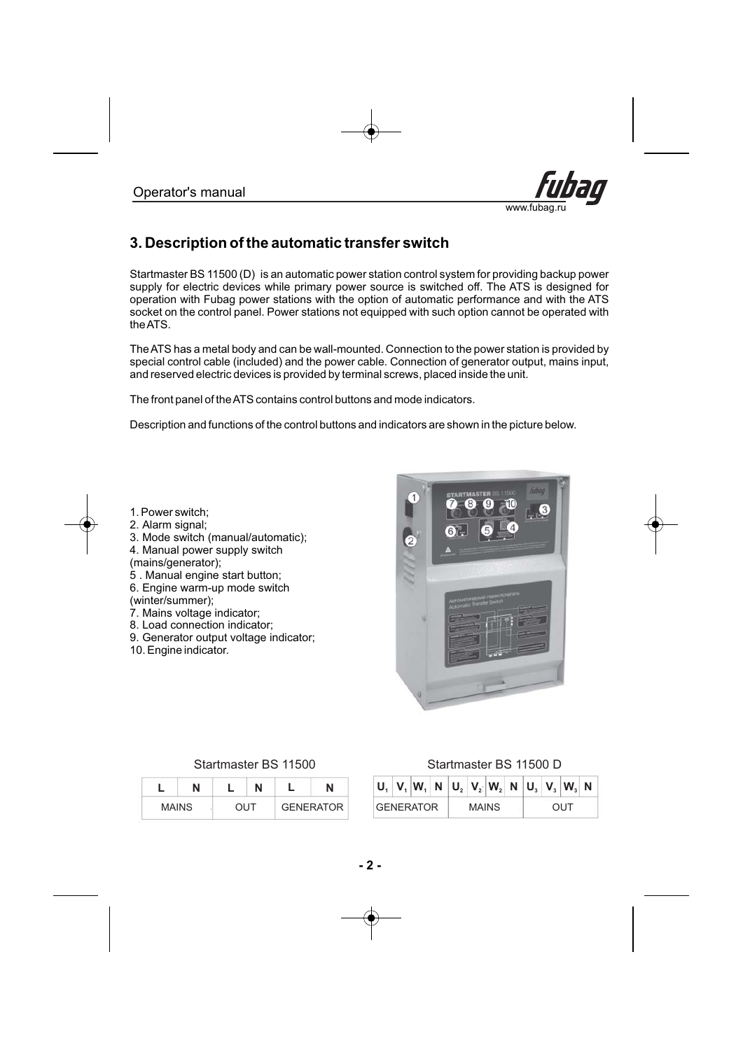

## **3. Description of the automatic transfer switch**

Startmaster BS 11500 (D) is an automatic power station control system for providing backup power supply for electric devices while primary power source is switched off. The ATS is designed for operation with Fubag power stations with the option of automatic performance and with the ATS socket on the control panel. Power stations not equipped with such option cannot be operated with theATS.

TheATS has a metal body and can be wall-mounted. Connection to the power station is provided by special control cable (included) and the power cable. Connection of generator output, mains input, and reserved electric devices is provided by terminal screws, placed inside the unit.

The front panel of theATS contains control buttons and mode indicators.

Description and functions of the control buttons and indicators are shown in the picture below.

- 1. Power switch;
- . 2 Alarm signal;
- . 3 Mode switch (manual/automatic);
- . 4 Manual power supply switch
- (mains/generator);
- . 5 Manual engine start button;
- . 6 Engine warm-up mode switch (winter/summer);
- . 7 Mains voltage indicator;
- . 8 Load connection indicator;
- . 9 Generator output voltage indicator;
- . 10 Engine indicator.



| <b>MAINS</b> |  | דו ור | <b>GENERATOR</b> |
|--------------|--|-------|------------------|

### Startmaster BS 11500 115 Startmaster BS 000 D

| -            |  |     |           |  |                  |  |              | $ V_1 W_1 N U_2 V_2 W_3 N U_3 V_3 W_3 N$ |  |  |  |
|--------------|--|-----|-----------|--|------------------|--|--------------|------------------------------------------|--|--|--|
| <b>MAINS</b> |  | OUT | GENERATOR |  | <b>GENERATOR</b> |  | <b>MAINS</b> |                                          |  |  |  |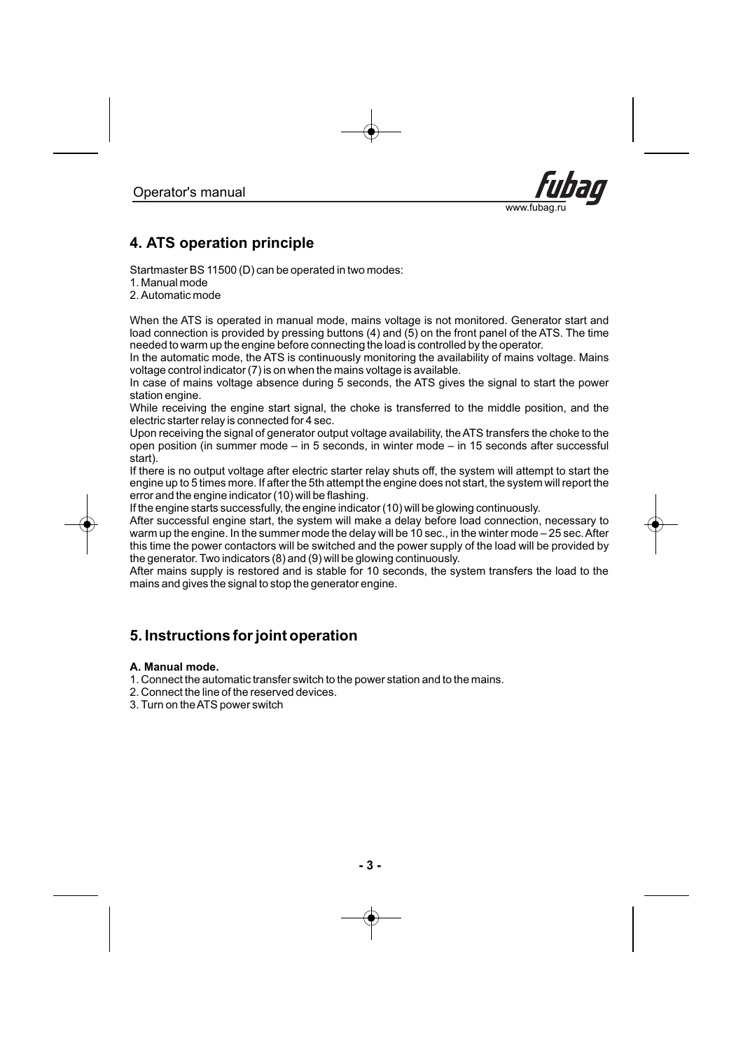

## **4. ATS operation principle**

Startmaster BS 11500 (D) can be operated in two modes:

1. Manual mode

2. Automatic mode

When the ATS is operated in manual mode, mains voltage is not monitored. Generator start and load connection is provided by pressing buttons (4) and (5) on the front panel of the ATS. The time needed to warm up the engine before connecting the load is controlled by the operator.

In the automatic mode, the ATS is continuously monitoring the availability of mains voltage. Mains voltage control indicator (7) is on when the mains voltage is available.

In case of mains voltage absence during 5 seconds, the ATS gives the signal to start the power station engine.

While receiving the engine start signal, the choke is transferred to the middle position, and the electric starter relay is connected for 4 sec.

Upon receiving the signal of generator output voltage availability, the ATS transfers the choke to the open position (in summer mode – in 5 seconds, in winter mode – in 15 seconds after successful start).

If there is no output voltage after electric starter relay shuts off, the system will attempt to start the engine up to 5 times more. If after the 5th attempt the engine does not start, the system will report the error and the engine indicator (10) will be flashing.

If the engine starts successfully, the engine indicator (10) will be glowing continuously.

After successful engine start, the system will make a delay before load connection, necessary to warm up the engine. In the summer mode the delay will be 10 sec., in the winter mode – 25 sec. After this time the power contactors will be switched and the power supply of the load will be provided by the generator. Two indicators (8) and (9) will be glowing continuously.

After mains supply is restored and is stable for 10 seconds, the system transfers the load to the mains and gives the signal to stop the generator engine.

### **5. Instructions for joint operation**

### **A. Manual mode.**

1 Connect the automatic transfer switch to the power station and to the mains. .

- 2 Connect the line of the reserved devices. .
- 3. Turn on the ATS power switch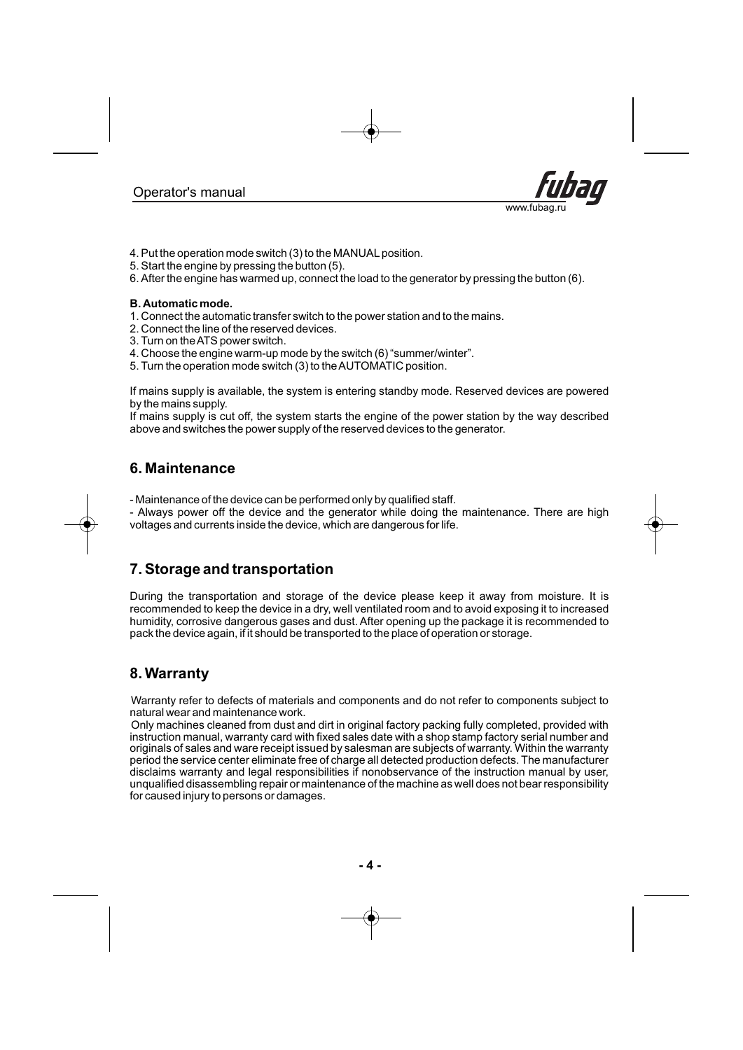

- 4. Put the operation mode switch (3) to the MANUALposition.
- 5. Start the engine by pressing the button (5).
- 6. After the engine has warmed up, connect the load to the generator by pressing the button (6).

#### **B. Automatic mode.**

- . 1 Connect the automatic transfer switch to the power station and to the mains.
- . 2 Connect the line of the reserved devices.
- . 3 Turn on theATS power switch.
- . 4 Choose the engine warm-up mode by the switch (6) "summer/winter".
- . 5 Turn the operation mode switch (3) to theAUTOMATIC position.

If mains supply is available, the system is entering standby mode. Reserved devices are powered by the mains supply.

If mains supply is cut off, the system starts the engine of the power station by the way described above and switches the power supply of the reserved devices to the generator.

### **6. Maintenance**

- Maintenance of the device can be performed only by qualified staff.

- Always power off the device and the generator while doing the maintenance. There are high voltages and currents inside the device, which are dangerous for life.

### **7. Storage and transportation**

During the transportation and storage of the device please keep it away from moisture. It is recommended to keep the device in a dry, well ventilated room and to avoid exposing it to increased humidity, corrosive dangerous gases and dust. After opening up the package it is recommended to pack the device again, if it should be transported to the place of operation or storage.

### **8. Warranty**

Warranty refer to defects of materials and components and do not refer to components subject to natural wear and maintenance work.

Only machines cleaned from dust and dirt in original factory packing fully completed, provided with instruction manual, warranty card with fixed sales date with a shop stamp factory serial number and originals of sales and ware receipt issued by salesman are subjects of warranty. Within the warranty period the service center eliminate free of charge all detected production defects. The manufacturer disclaims warranty and legal responsibilities if nonobservance of the instruction manual by user, unqualified disassembling repair or maintenance of the machine as well does not bear responsibility for caused injury to persons or damages.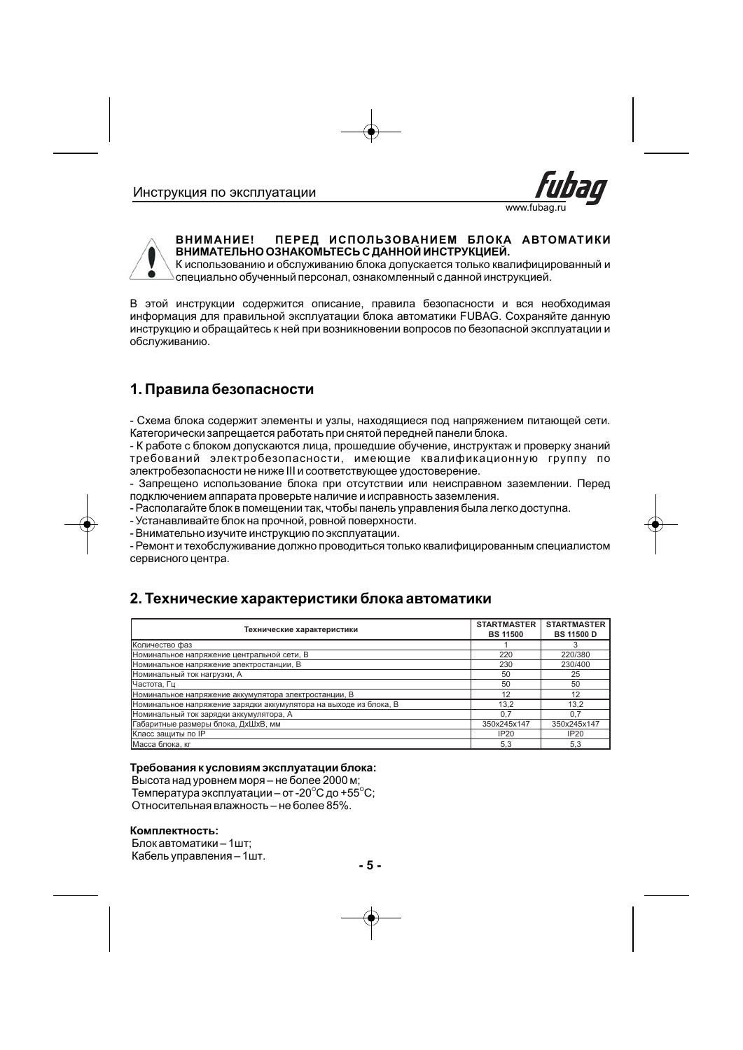



#### **ВНИМАНИЕ! ПЕРЕД ИСПОЛЬЗОВАНИЕМ БЛОКА АВТОМАТИКИ ВНИМАТЕЛЬНО ОЗНАКОМЬТЕСЬ С ДАННОЙ ИНСТРУКЦИЕЙ.**

К использованию и обслуживанию блока допускается только квалифицированный и специально обученный персонал, ознакомленный с данной инструкцией.

В этой инструкции содержится описание, правила безопасности и вся необходимая информация для правильной эксплуатации блока автоматики FUBAG. Сохраняйте данную инструкцию и обращайтесь к ней при возникновении вопросов по безопасной эксплуатации и обслуживанию.

### **1. Правила безопасности**

- Схема блока содержит элементы и узлы, находящиеся под напряжением питающей сети. Категорически запрещается работать при снятой передней панели блока.

- К работе с блоком допускаются лица, прошедшие обучение, инструктаж и проверку знаний требований электробезопасности, имеющие квалификационную группу по электробезопасности не ниже III и соответствующее удостоверение.

- Запрещено использование блока при отсутствии или неисправном заземлении. Перед подключением аппарата проверьте наличие и исправность заземления.

- Располагайте блок в помещении так, чтобы панель управления была легко доступна.

- Устанавливайте блок на прочной, ровной поверхности.

- Внимательно изучите инструкцию по эксплуатации.

- Ремонт и техобслуживание должно проводиться только квалифицированным специалистом сервисного центра.

### **2. Технические характеристики блока автоматики**

| Технические характеристики                                        | <b>STARTMASTER</b><br><b>BS 11500</b> | <b>STARTMASTER</b><br><b>BS 11500 D</b> |
|-------------------------------------------------------------------|---------------------------------------|-----------------------------------------|
| Количество фаз                                                    |                                       |                                         |
| Номинальное напряжение центральной сети, В                        | 220                                   | 220/380                                 |
| Номинальное напряжение электростанции, В                          | 230                                   | 230/400                                 |
| Номинальный ток нагрузки, А                                       | 50                                    | 25                                      |
| Частота, Гц                                                       | 50                                    | 50                                      |
| Номинальное напряжение аккумулятора электростанции, В             | 12                                    | 12                                      |
| Номинальное напряжение зарядки аккумулятора на выходе из блока, В | 13.2                                  | 13,2                                    |
| Номинальный ток зарядки аккумулятора, А                           | 0.7                                   | 0.7                                     |
| Габаритные размеры блока, ДхШхВ, мм                               | 350x245x147                           | 350x245x147                             |
| Класс защиты по IP                                                | IP20                                  | IP20                                    |
| Масса блока, кг                                                   | 5,3                                   | 5,3                                     |

#### **Требования к условиям эксплуатации блока:**

Высота над уровнем моря – не более 2000 м; Температура эксплуатации – от -20 $^{\circ}$ C до +55 $^{\circ}$ C; Относительная влажность – не более 85%.

#### **Комплектность:**

Блок автоматики – 1шт; Кабель управления – 1шт .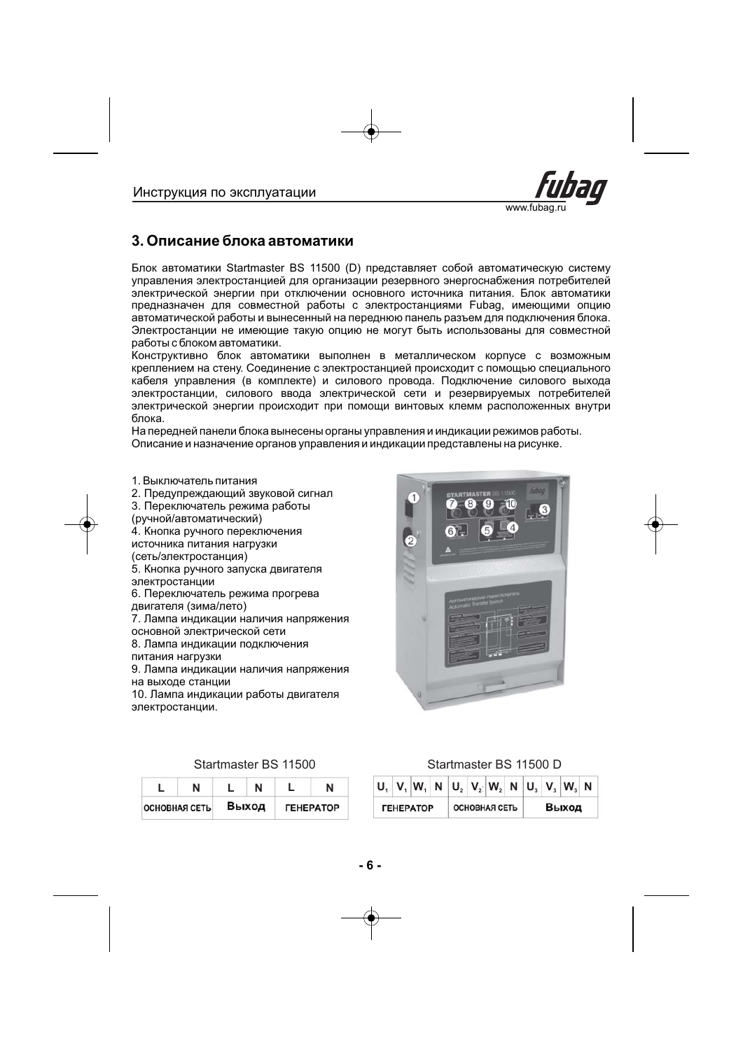

### **3. Описание блока автоматики**

Блок автоматики Startmaster BS 11500 (D) представляет собой автоматическую систему управления электростанцией для организации резервного энергоснабжения потребителей электрической энергии при отключении основного источника питания. Блок автоматики предназначен для совместной работы с электростанциями Fubag, имеющими опцию автоматической работы и вынесенный на переднюю панель разъем для подключения блока. Электростанции не имеющие такую опцию не могут быть использованы для совместной работы с блоком автоматики.

Конструктивно блок автоматики выполнен в металлическом корпусе с возможным креплением на стену. Соединение с электростанцией происходит с помощью специального кабеля управления (в комплекте) и силового провода. Подключение силового выхода электростанции, силового ввода электрической сети и резервируемых потребителей электрической энергии происходит при помощи винтовых клемм расположенных внутри блока.

На передней панели блока вынесены органы управления и индикации режимов работы. Описание и назначение органов управления и индикации представлены на рисунке.

1. Выключатель питания

- . 2 Предупреждающий звуковой сигнал
- . 3 Переключатель режима работы
- (ручной/автоматический)
- . 4 Кнопка ручного переключения
- источника питания нагрузки
- (сеть/электростанция)
- . 5 Кнопка ручного запуска двигателя электростанции
- . 6 Переключатель режима прогрева двигателя (зима/лето)
- . 7 Лампа индикации наличия напряжения основной электрической сети
- . 8 Лампа индикации подключения
- питания нагрузки

. 9 Лампа индикации наличия напряжения

на выходе станции

. 10 Лампа индикации работы двигателя электростанции.



|                      |  |       | N                              |
|----------------------|--|-------|--------------------------------|
| <b>ОСНОВНАЯ СЕТЬ</b> |  | Выход | <b><i><u>TEHEPATOP</u></i></b> |

### Startmaster BS 11500 115 Startmaster BS 000 D

| - |                   |       |                         | $\mid U_{1}\mid V_{1}\mid W_{1}\mid N\mid U_{2}\mid V_{2}\mid W_{2}\mid N\mid U_{3}\mid V_{3}\mid W_{3}\mid N\mid$ |                         |  |                      |  |       |  |
|---|-------------------|-------|-------------------------|--------------------------------------------------------------------------------------------------------------------|-------------------------|--|----------------------|--|-------|--|
|   | <b>ЮВНАЯ СЕТЬ</b> | Выход | <b><i>TEHEPATOP</i></b> |                                                                                                                    | <b><i>FEHEPATOP</i></b> |  | <b>ОСНОВНАЯ СЕТЬ</b> |  | Выход |  |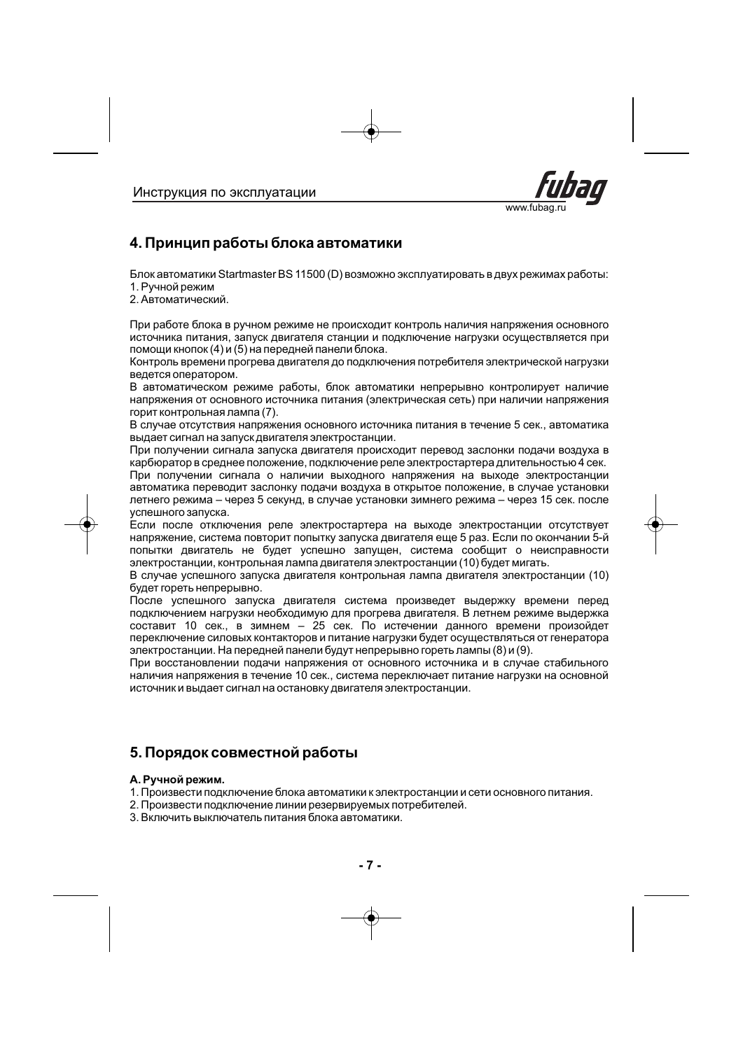

### **4. Принцип работы блока автоматики**

Блок автоматики Startmaster BS 11500 (D) возможно эксплуатировать в двух режимах работы: 1. Ручной режим

2. Автоматический.

При работе блока в ручном режиме не происходит контроль наличия напряжения основного источника питания, запуск двигателя станции и подключение нагрузки осуществляется при помощи кнопок (4) и (5) на передней панели блока.

Контроль времени прогрева двигателя до подключения потребителя электрической нагрузки ведется оператором.

В автоматическом режиме работы, блок автоматики непрерывно контролирует наличие напряжения от основного источника питания (электрическая сеть) при наличии напряжения горит контрольная лампа (7).

В случае отсутствия напряжения основного источника питания в течение 5 сек., автоматика выдает сигнал на запуск двигателя электростанции.

При получении сигнала запуска двигателя происходит перевод заслонки подачи воздуха в карбюратор в среднее положение, подключение реле электростартера длительностью 4 сек. При получении сигнала о наличии выходного напряжения на выходе электростанции

автоматика переводит заслонку подачи воздуха в открытое положение, в случае установки летнего режима – через 5 секунд, в случае установки зимнего режима – через 15 сек. после успешного запуска.

Если после отключения реле электростартера на выходе электростанции отсутствует напряжение, система повторит попытку запуска двигателя еще 5 раз. Если по окончании 5-й попытки двигатель не будет успешно запущен, система сообщит о неисправности электростанции, контрольная лампа двигателя электростанции (10) будет мигать.

В случае успешного запуска двигателя контрольная лампа двигателя электростанции (10) будет гореть непрерывно.

После успешного запуска двигателя система произведет выдержку времени перед подключением нагрузки необходимую для прогрева двигателя. В летнем режиме выдержка составит 10 сек., в зимнем – 25 сек. По истечении данного времени произойдет переключение силовых контакторов и питание нагрузки будет осуществляться от генератора электростанции. На передней панели будут непрерывно гореть лампы (8) и (9).

При восстановлении подачи напряжения от основного источника и в случае стабильного наличия напряжения в течение 10 сек., система переключает питание нагрузки на основной источник и выдает сигнал на остановку двигателя электростанции.

### **5. Порядок совместной работы**

#### **А. Ручной режим.**

- 1. Произвести подключение блока автоматики к электростанции и сети основного питания.
- 2. Произвести подключение линии резервируемых потребителей.
- 3. Включить выключатель питания блока автоматики.